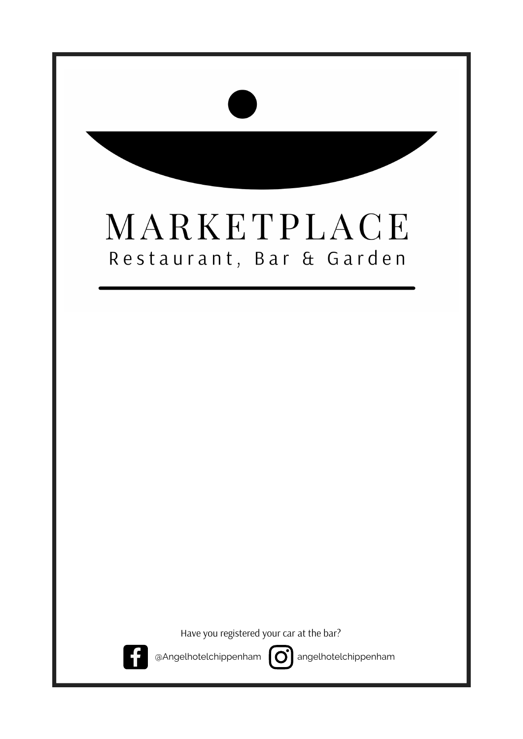